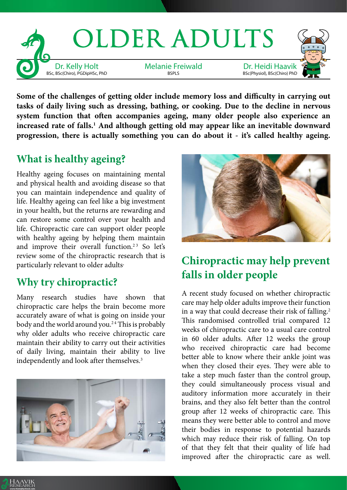

**Some of the challenges of getting older include memory loss and difficulty in carrying out tasks of daily living such as dressing, bathing, or cooking. Due to the decline in nervous system function that often accompanies ageing, many older people also experience an increased rate of falls.1 And although getting old may appear like an inevitable downward progression, there is actually something you can do about it - it's called healthy ageing.**

## **What is healthy ageing?**

Healthy ageing focuses on maintaining mental and physical health and avoiding disease so that you can maintain independence and quality of life. Healthy ageing can feel like a big investment in your health, but the returns are rewarding and can restore some control over your health and life. Chiropractic care can support older people with healthy ageing by helping them maintain and improve their overall function.<sup>23</sup> So let's review some of the chiropractic research that is particularly relevant to older adults.

## **Why try chiropractic?**

Many research studies have shown that chiropractic care helps the brain become more accurately aware of what is going on inside your body and the world around you.<sup>24</sup> This is probably why older adults who receive chiropractic care maintain their ability to carry out their activities of daily living, maintain their ability to live independently and look after themselves.<sup>3</sup>



HAAVIK RESEARCH www.therealitycheck.com



## **Chiropractic may help prevent falls in older people**

A recent study focused on whether chiropractic care may help older adults improve their function in a way that could decrease their risk of falling.<sup>2</sup> This randomised controlled trial compared 12 weeks of chiropractic care to a usual care control in 60 older adults. After 12 weeks the group who received chiropractic care had become better able to know where their ankle joint was when they closed their eyes. They were able to take a step much faster than the control group, they could simultaneously process visual and auditory information more accurately in their brains, and they also felt better than the control group after 12 weeks of chiropractic care. This means they were better able to control and move their bodies in response to potential hazards which may reduce their risk of falling. On top of that they felt that their quality of life had improved after the chiropractic care as well.